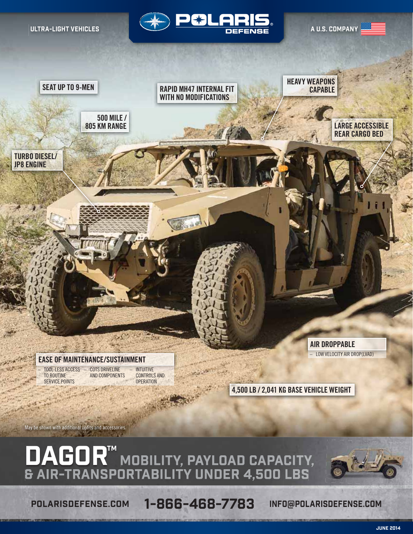ULTRA-LIGHT VEHICLES



A U.S. COMPANY



**EASE OF MAINTENANCE/SUSTAINMENT**

– TOOL-LESS ACCESS TO ROUTINE SERVICE POINTS

– COTS DRIVELINE AND COMPONENTS **INTUITIVE** CONTROLS AND **OPERATION** 

**4,500 LB / 2,041 KG BASE VEHICLE WEIGHT**

**AIR DROPPABLE**

– LOW VELOCITY AIR DROP(LVAD)

May be shown with additional upfits and accessories.

DAGOR™ MOBILITY, PAYLOAD CAPACITY,<br>& AIR-TRANSPORTABILITY UNDER 4,500 LBS

POLARISDEFENSE.COM 1-866-468-7783 INFO@POLARISDEFENSE.COM